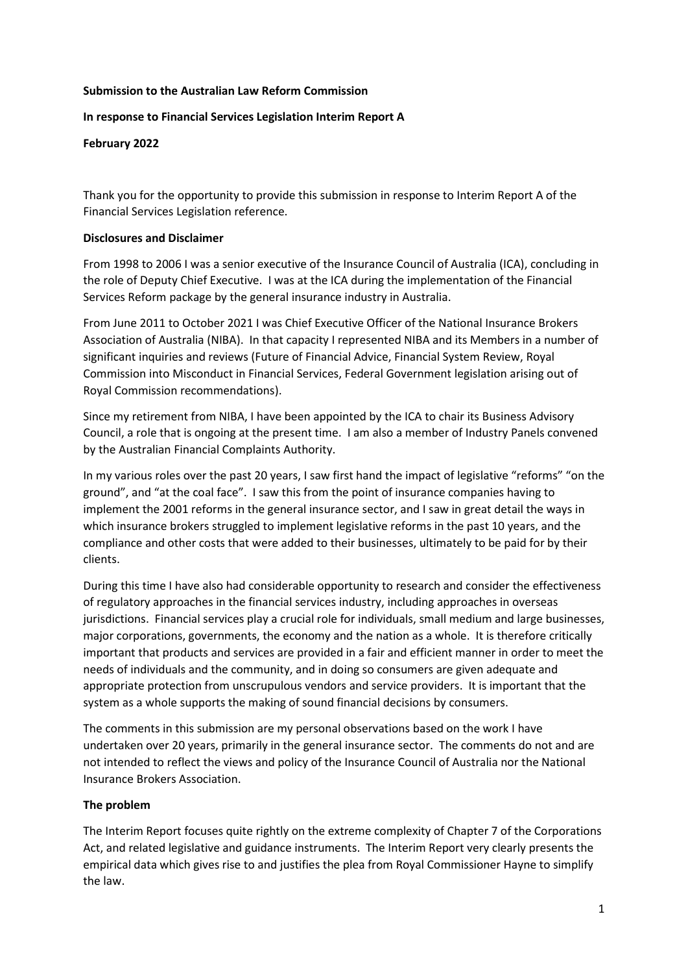#### Submission to the Australian Law Reform Commission

## In response to Financial Services Legislation Interim Report A

#### February 2022

Thank you for the opportunity to provide this submission in response to Interim Report A of the Financial Services Legislation reference.

#### Disclosures and Disclaimer

From 1998 to 2006 I was a senior executive of the Insurance Council of Australia (ICA), concluding in the role of Deputy Chief Executive. I was at the ICA during the implementation of the Financial Services Reform package by the general insurance industry in Australia.

From June 2011 to October 2021 I was Chief Executive Officer of the National Insurance Brokers Association of Australia (NIBA). In that capacity I represented NIBA and its Members in a number of significant inquiries and reviews (Future of Financial Advice, Financial System Review, Royal Commission into Misconduct in Financial Services, Federal Government legislation arising out of Royal Commission recommendations).

Since my retirement from NIBA, I have been appointed by the ICA to chair its Business Advisory Council, a role that is ongoing at the present time. I am also a member of Industry Panels convened by the Australian Financial Complaints Authority.

In my various roles over the past 20 years, I saw first hand the impact of legislative "reforms" "on the ground", and "at the coal face". I saw this from the point of insurance companies having to implement the 2001 reforms in the general insurance sector, and I saw in great detail the ways in which insurance brokers struggled to implement legislative reforms in the past 10 years, and the compliance and other costs that were added to their businesses, ultimately to be paid for by their clients.

During this time I have also had considerable opportunity to research and consider the effectiveness of regulatory approaches in the financial services industry, including approaches in overseas jurisdictions. Financial services play a crucial role for individuals, small medium and large businesses, major corporations, governments, the economy and the nation as a whole. It is therefore critically important that products and services are provided in a fair and efficient manner in order to meet the needs of individuals and the community, and in doing so consumers are given adequate and appropriate protection from unscrupulous vendors and service providers. It is important that the system as a whole supports the making of sound financial decisions by consumers.

The comments in this submission are my personal observations based on the work I have undertaken over 20 years, primarily in the general insurance sector. The comments do not and are not intended to reflect the views and policy of the Insurance Council of Australia nor the National Insurance Brokers Association.

# The problem

The Interim Report focuses quite rightly on the extreme complexity of Chapter 7 of the Corporations Act, and related legislative and guidance instruments. The Interim Report very clearly presents the empirical data which gives rise to and justifies the plea from Royal Commissioner Hayne to simplify the law.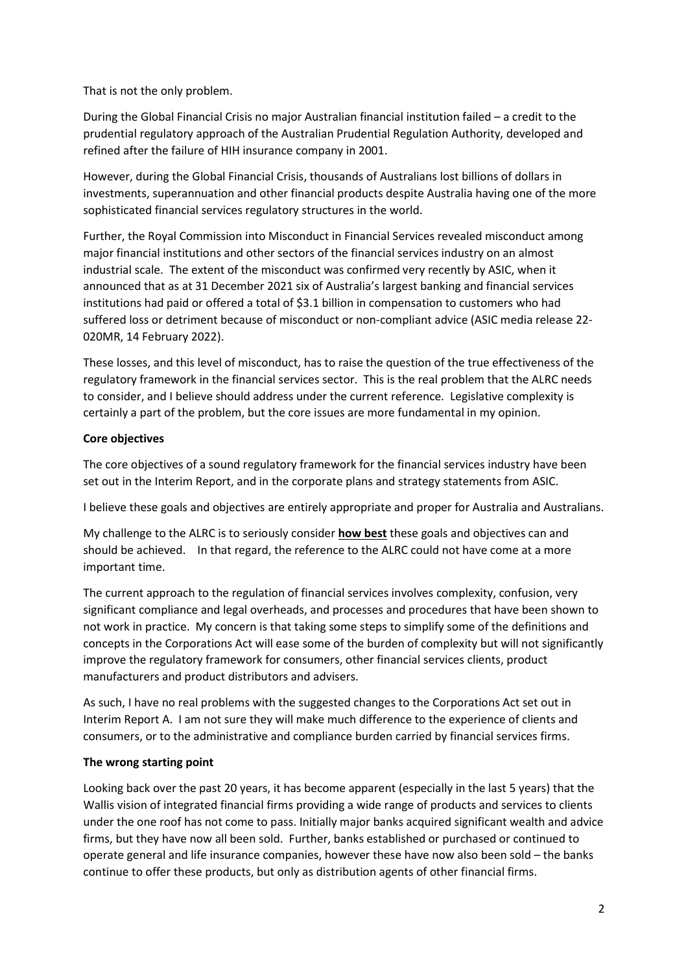That is not the only problem.

During the Global Financial Crisis no major Australian financial institution failed – a credit to the prudential regulatory approach of the Australian Prudential Regulation Authority, developed and refined after the failure of HIH insurance company in 2001.

However, during the Global Financial Crisis, thousands of Australians lost billions of dollars in investments, superannuation and other financial products despite Australia having one of the more sophisticated financial services regulatory structures in the world.

Further, the Royal Commission into Misconduct in Financial Services revealed misconduct among major financial institutions and other sectors of the financial services industry on an almost industrial scale. The extent of the misconduct was confirmed very recently by ASIC, when it announced that as at 31 December 2021 six of Australia's largest banking and financial services institutions had paid or offered a total of \$3.1 billion in compensation to customers who had suffered loss or detriment because of misconduct or non-compliant advice (ASIC media release 22- 020MR, 14 February 2022).

These losses, and this level of misconduct, has to raise the question of the true effectiveness of the regulatory framework in the financial services sector. This is the real problem that the ALRC needs to consider, and I believe should address under the current reference. Legislative complexity is certainly a part of the problem, but the core issues are more fundamental in my opinion.

# Core objectives

The core objectives of a sound regulatory framework for the financial services industry have been set out in the Interim Report, and in the corporate plans and strategy statements from ASIC.

I believe these goals and objectives are entirely appropriate and proper for Australia and Australians.

My challenge to the ALRC is to seriously consider **how best** these goals and objectives can and should be achieved. In that regard, the reference to the ALRC could not have come at a more important time.

The current approach to the regulation of financial services involves complexity, confusion, very significant compliance and legal overheads, and processes and procedures that have been shown to not work in practice. My concern is that taking some steps to simplify some of the definitions and concepts in the Corporations Act will ease some of the burden of complexity but will not significantly improve the regulatory framework for consumers, other financial services clients, product manufacturers and product distributors and advisers.

As such, I have no real problems with the suggested changes to the Corporations Act set out in Interim Report A. I am not sure they will make much difference to the experience of clients and consumers, or to the administrative and compliance burden carried by financial services firms.

# The wrong starting point

Looking back over the past 20 years, it has become apparent (especially in the last 5 years) that the Wallis vision of integrated financial firms providing a wide range of products and services to clients under the one roof has not come to pass. Initially major banks acquired significant wealth and advice firms, but they have now all been sold. Further, banks established or purchased or continued to operate general and life insurance companies, however these have now also been sold – the banks continue to offer these products, but only as distribution agents of other financial firms.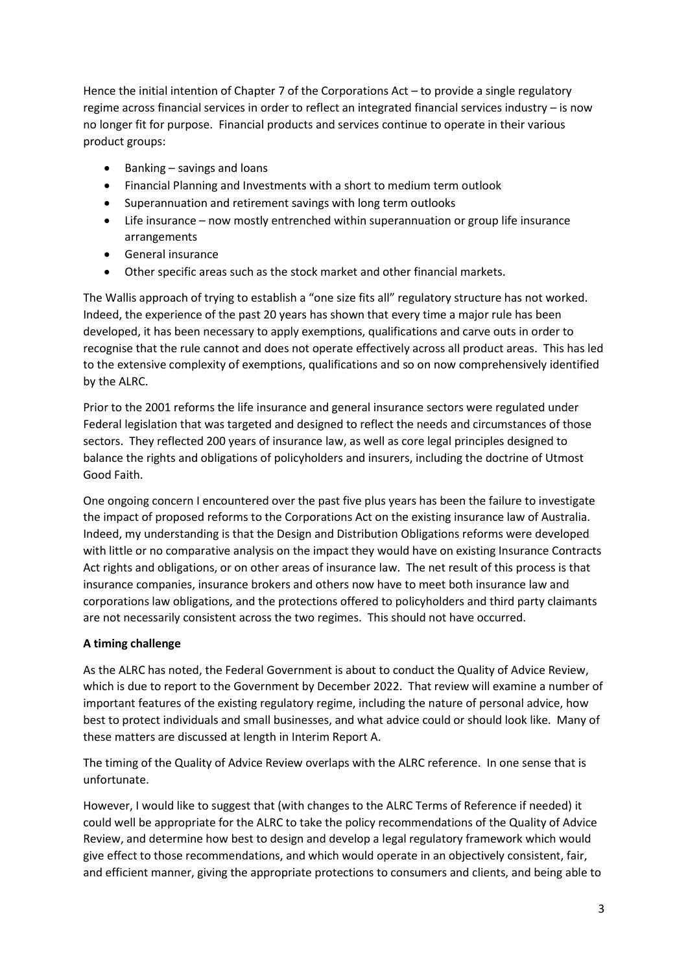Hence the initial intention of Chapter 7 of the Corporations Act – to provide a single regulatory regime across financial services in order to reflect an integrated financial services industry – is now no longer fit for purpose. Financial products and services continue to operate in their various product groups:

- Banking savings and loans
- Financial Planning and Investments with a short to medium term outlook
- Superannuation and retirement savings with long term outlooks
- Life insurance now mostly entrenched within superannuation or group life insurance arrangements
- General insurance
- Other specific areas such as the stock market and other financial markets.

The Wallis approach of trying to establish a "one size fits all" regulatory structure has not worked. Indeed, the experience of the past 20 years has shown that every time a major rule has been developed, it has been necessary to apply exemptions, qualifications and carve outs in order to recognise that the rule cannot and does not operate effectively across all product areas. This has led to the extensive complexity of exemptions, qualifications and so on now comprehensively identified by the ALRC.

Prior to the 2001 reforms the life insurance and general insurance sectors were regulated under Federal legislation that was targeted and designed to reflect the needs and circumstances of those sectors. They reflected 200 years of insurance law, as well as core legal principles designed to balance the rights and obligations of policyholders and insurers, including the doctrine of Utmost Good Faith.

One ongoing concern I encountered over the past five plus years has been the failure to investigate the impact of proposed reforms to the Corporations Act on the existing insurance law of Australia. Indeed, my understanding is that the Design and Distribution Obligations reforms were developed with little or no comparative analysis on the impact they would have on existing Insurance Contracts Act rights and obligations, or on other areas of insurance law. The net result of this process is that insurance companies, insurance brokers and others now have to meet both insurance law and corporations law obligations, and the protections offered to policyholders and third party claimants are not necessarily consistent across the two regimes. This should not have occurred.

# A timing challenge

As the ALRC has noted, the Federal Government is about to conduct the Quality of Advice Review, which is due to report to the Government by December 2022. That review will examine a number of important features of the existing regulatory regime, including the nature of personal advice, how best to protect individuals and small businesses, and what advice could or should look like. Many of these matters are discussed at length in Interim Report A.

The timing of the Quality of Advice Review overlaps with the ALRC reference. In one sense that is unfortunate.

However, I would like to suggest that (with changes to the ALRC Terms of Reference if needed) it could well be appropriate for the ALRC to take the policy recommendations of the Quality of Advice Review, and determine how best to design and develop a legal regulatory framework which would give effect to those recommendations, and which would operate in an objectively consistent, fair, and efficient manner, giving the appropriate protections to consumers and clients, and being able to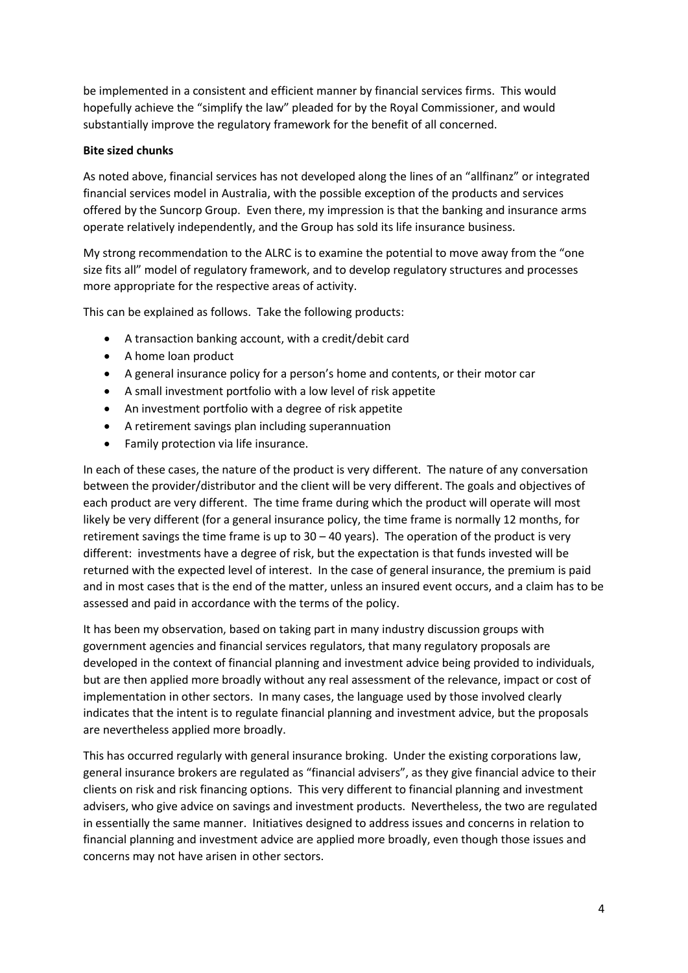be implemented in a consistent and efficient manner by financial services firms. This would hopefully achieve the "simplify the law" pleaded for by the Royal Commissioner, and would substantially improve the regulatory framework for the benefit of all concerned.

## Bite sized chunks

As noted above, financial services has not developed along the lines of an "allfinanz" or integrated financial services model in Australia, with the possible exception of the products and services offered by the Suncorp Group. Even there, my impression is that the banking and insurance arms operate relatively independently, and the Group has sold its life insurance business.

My strong recommendation to the ALRC is to examine the potential to move away from the "one size fits all" model of regulatory framework, and to develop regulatory structures and processes more appropriate for the respective areas of activity.

This can be explained as follows. Take the following products:

- A transaction banking account, with a credit/debit card
- A home loan product
- A general insurance policy for a person's home and contents, or their motor car
- A small investment portfolio with a low level of risk appetite
- An investment portfolio with a degree of risk appetite
- A retirement savings plan including superannuation
- Family protection via life insurance.

In each of these cases, the nature of the product is very different. The nature of any conversation between the provider/distributor and the client will be very different. The goals and objectives of each product are very different. The time frame during which the product will operate will most likely be very different (for a general insurance policy, the time frame is normally 12 months, for retirement savings the time frame is up to 30 – 40 years). The operation of the product is very different: investments have a degree of risk, but the expectation is that funds invested will be returned with the expected level of interest. In the case of general insurance, the premium is paid and in most cases that is the end of the matter, unless an insured event occurs, and a claim has to be assessed and paid in accordance with the terms of the policy.

It has been my observation, based on taking part in many industry discussion groups with government agencies and financial services regulators, that many regulatory proposals are developed in the context of financial planning and investment advice being provided to individuals, but are then applied more broadly without any real assessment of the relevance, impact or cost of implementation in other sectors. In many cases, the language used by those involved clearly indicates that the intent is to regulate financial planning and investment advice, but the proposals are nevertheless applied more broadly.

This has occurred regularly with general insurance broking. Under the existing corporations law, general insurance brokers are regulated as "financial advisers", as they give financial advice to their clients on risk and risk financing options. This very different to financial planning and investment advisers, who give advice on savings and investment products. Nevertheless, the two are regulated in essentially the same manner. Initiatives designed to address issues and concerns in relation to financial planning and investment advice are applied more broadly, even though those issues and concerns may not have arisen in other sectors.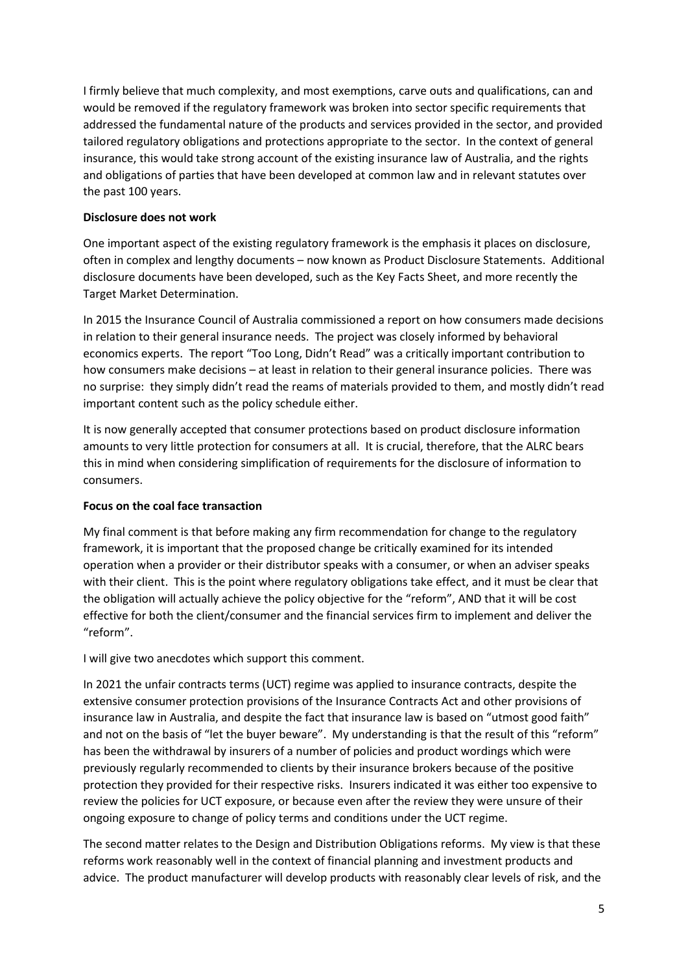I firmly believe that much complexity, and most exemptions, carve outs and qualifications, can and would be removed if the regulatory framework was broken into sector specific requirements that addressed the fundamental nature of the products and services provided in the sector, and provided tailored regulatory obligations and protections appropriate to the sector. In the context of general insurance, this would take strong account of the existing insurance law of Australia, and the rights and obligations of parties that have been developed at common law and in relevant statutes over the past 100 years.

## Disclosure does not work

One important aspect of the existing regulatory framework is the emphasis it places on disclosure, often in complex and lengthy documents – now known as Product Disclosure Statements. Additional disclosure documents have been developed, such as the Key Facts Sheet, and more recently the Target Market Determination.

In 2015 the Insurance Council of Australia commissioned a report on how consumers made decisions in relation to their general insurance needs. The project was closely informed by behavioral economics experts. The report "Too Long, Didn't Read" was a critically important contribution to how consumers make decisions – at least in relation to their general insurance policies. There was no surprise: they simply didn't read the reams of materials provided to them, and mostly didn't read important content such as the policy schedule either.

It is now generally accepted that consumer protections based on product disclosure information amounts to very little protection for consumers at all. It is crucial, therefore, that the ALRC bears this in mind when considering simplification of requirements for the disclosure of information to consumers.

# Focus on the coal face transaction

My final comment is that before making any firm recommendation for change to the regulatory framework, it is important that the proposed change be critically examined for its intended operation when a provider or their distributor speaks with a consumer, or when an adviser speaks with their client. This is the point where regulatory obligations take effect, and it must be clear that the obligation will actually achieve the policy objective for the "reform", AND that it will be cost effective for both the client/consumer and the financial services firm to implement and deliver the "reform".

I will give two anecdotes which support this comment.

In 2021 the unfair contracts terms (UCT) regime was applied to insurance contracts, despite the extensive consumer protection provisions of the Insurance Contracts Act and other provisions of insurance law in Australia, and despite the fact that insurance law is based on "utmost good faith" and not on the basis of "let the buyer beware". My understanding is that the result of this "reform" has been the withdrawal by insurers of a number of policies and product wordings which were previously regularly recommended to clients by their insurance brokers because of the positive protection they provided for their respective risks. Insurers indicated it was either too expensive to review the policies for UCT exposure, or because even after the review they were unsure of their ongoing exposure to change of policy terms and conditions under the UCT regime.

The second matter relates to the Design and Distribution Obligations reforms. My view is that these reforms work reasonably well in the context of financial planning and investment products and advice. The product manufacturer will develop products with reasonably clear levels of risk, and the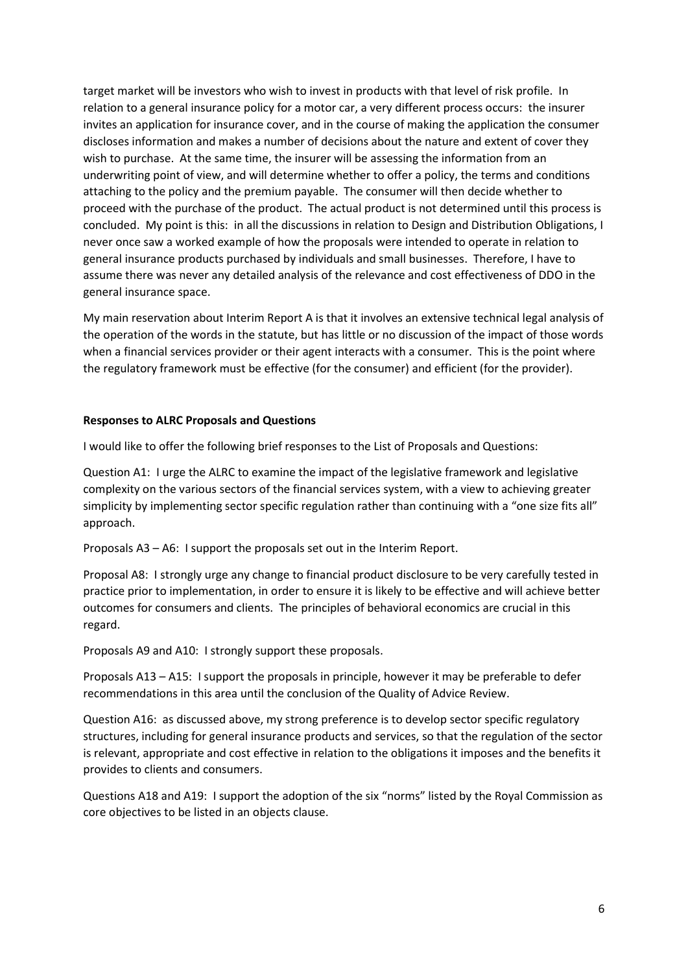target market will be investors who wish to invest in products with that level of risk profile. In relation to a general insurance policy for a motor car, a very different process occurs: the insurer invites an application for insurance cover, and in the course of making the application the consumer discloses information and makes a number of decisions about the nature and extent of cover they wish to purchase. At the same time, the insurer will be assessing the information from an underwriting point of view, and will determine whether to offer a policy, the terms and conditions attaching to the policy and the premium payable. The consumer will then decide whether to proceed with the purchase of the product. The actual product is not determined until this process is concluded. My point is this: in all the discussions in relation to Design and Distribution Obligations, I never once saw a worked example of how the proposals were intended to operate in relation to general insurance products purchased by individuals and small businesses. Therefore, I have to assume there was never any detailed analysis of the relevance and cost effectiveness of DDO in the general insurance space.

My main reservation about Interim Report A is that it involves an extensive technical legal analysis of the operation of the words in the statute, but has little or no discussion of the impact of those words when a financial services provider or their agent interacts with a consumer. This is the point where the regulatory framework must be effective (for the consumer) and efficient (for the provider).

#### Responses to ALRC Proposals and Questions

I would like to offer the following brief responses to the List of Proposals and Questions:

Question A1: I urge the ALRC to examine the impact of the legislative framework and legislative complexity on the various sectors of the financial services system, with a view to achieving greater simplicity by implementing sector specific regulation rather than continuing with a "one size fits all" approach.

Proposals A3 – A6: I support the proposals set out in the Interim Report.

Proposal A8: I strongly urge any change to financial product disclosure to be very carefully tested in practice prior to implementation, in order to ensure it is likely to be effective and will achieve better outcomes for consumers and clients. The principles of behavioral economics are crucial in this regard.

Proposals A9 and A10: I strongly support these proposals.

Proposals A13 – A15: I support the proposals in principle, however it may be preferable to defer recommendations in this area until the conclusion of the Quality of Advice Review.

Question A16: as discussed above, my strong preference is to develop sector specific regulatory structures, including for general insurance products and services, so that the regulation of the sector is relevant, appropriate and cost effective in relation to the obligations it imposes and the benefits it provides to clients and consumers.

Questions A18 and A19: I support the adoption of the six "norms" listed by the Royal Commission as core objectives to be listed in an objects clause.